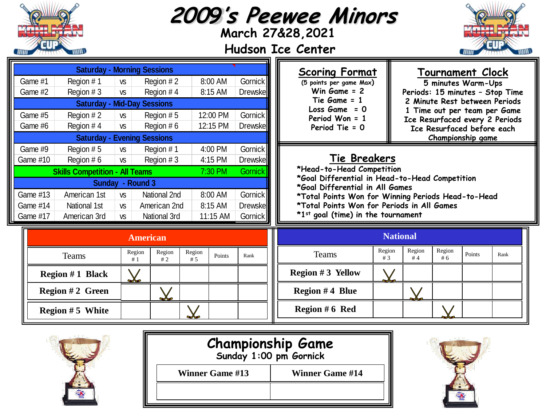|                                                                                                                                                                                                                                                                                                                                           |                                                                  |  |                                                                                   |                                                                                                                                                                                                                                                  |                                                                              |                                                                                                                                                                                                                                                                          |  | 2009's Peewee Minors<br>March 27&28,2021<br><b>Hudson Ice Center</b> |                                                                                                                                                                                                                                        |                           |              |        |      |
|-------------------------------------------------------------------------------------------------------------------------------------------------------------------------------------------------------------------------------------------------------------------------------------------------------------------------------------------|------------------------------------------------------------------|--|-----------------------------------------------------------------------------------|--------------------------------------------------------------------------------------------------------------------------------------------------------------------------------------------------------------------------------------------------|------------------------------------------------------------------------------|--------------------------------------------------------------------------------------------------------------------------------------------------------------------------------------------------------------------------------------------------------------------------|--|----------------------------------------------------------------------|----------------------------------------------------------------------------------------------------------------------------------------------------------------------------------------------------------------------------------------|---------------------------|--------------|--------|------|
| <b>Saturday - Morning Sessions</b><br>Game #1<br>Region #1<br>Region #2<br><b>VS</b><br>Game #2<br>Region #4<br>Region #3<br><b>VS</b><br><b>Saturday - Mid-Day Sessions</b><br>Game #5<br>Region #2<br>Region #5<br><b>VS</b><br>Game #6<br>Region #4<br>Region $# 6$<br><b>VS</b><br><b>Saturday</b><br><b>Evening Sessions</b>         |                                                                  |  |                                                                                   | <b>Scoring Format</b><br>8:00 AM<br>Gornick<br>(5 points per game Max)<br>Win $Game = 2$<br>8:15 AM<br><b>Drewskell</b><br>Tie Game = 1<br>Loss $Game = 0$<br>12:00 PM<br>Gornick<br>Period Won $= 1$<br>12:15 PM<br>Drewskell<br>Period Tie = 0 |                                                                              |                                                                                                                                                                                                                                                                          |  |                                                                      | <b>Tournament Clock</b><br>5 minutes Warm-Ups<br>Periods: 15 minutes - Stop Time<br>2 Minute Rest between Periods<br>1 Time out per team per Game<br>Ice Resurfaced every 2 Periods<br>Ice Resurfaced before each<br>Championship game |                           |              |        |      |
| Game #9<br>Region #5<br>Region #1<br><b>VS</b><br>Game #10<br>Region #6<br>Region #3<br><b>VS</b><br><b>Skills Competition - All Teams</b><br>Sunday - Round 3<br>National 2nd<br>Game #13<br>American 1st<br><b>VS</b><br>Game #14<br>National 1st<br>American 2nd<br><b>VS</b><br>American 3rd<br>Game #17<br>National 3rd<br><b>VS</b> |                                                                  |  |                                                                                   | 4:00 PM<br>4:15 PM<br>7:30 PM<br>8:00 AM<br>8:15 AM<br>11:15 AM                                                                                                                                                                                  | Gornick<br><b>Drewske</b><br>Gornick<br>Gornick<br><b>Drewske</b><br>Gornick | Tie Breakers<br>*Head-to-Head Competition<br>*Goal Differential in Head-to-Head Competition<br>*Goal Differential in All Games<br>*Total Points Won for Winning Periods Head-to-Head<br>*Total Points Won for Periods in All Games<br>*1st goal (time) in the tournament |  |                                                                      |                                                                                                                                                                                                                                        |                           |              |        |      |
|                                                                                                                                                                                                                                                                                                                                           | <b>Teams</b><br><b>Region #1 Black</b><br><b>Region #2 Green</b> |  | <b>American</b><br>Region<br>Region<br>#1<br>#2<br>$\chi$<br>${\color{red} \chi}$ | Region<br>#5                                                                                                                                                                                                                                     | Points                                                                       | Rank                                                                                                                                                                                                                                                                     |  | <b>Teams</b><br><b>Region #3 Yellow</b><br><b>Region #4 Blue</b>     | <b>National</b><br>Region<br>#3<br>$\boldsymbol{\bigvee}$                                                                                                                                                                              | Region<br>#4<br>$\bigvee$ | Region<br>#6 | Points | Rank |
| <b>Region #5 White</b>                                                                                                                                                                                                                                                                                                                    |                                                                  |  |                                                                                   |                                                                                                                                                                                                                                                  |                                                                              |                                                                                                                                                                                                                                                                          |  | Region # 6 Red                                                       |                                                                                                                                                                                                                                        |                           |              |        |      |



| <b>Championship Game</b><br>Sunday 1:00 pm Gornick |                        |  |  |  |  |  |
|----------------------------------------------------|------------------------|--|--|--|--|--|
| <b>Winner Game #13</b>                             | <b>Winner Game #14</b> |  |  |  |  |  |
|                                                    |                        |  |  |  |  |  |

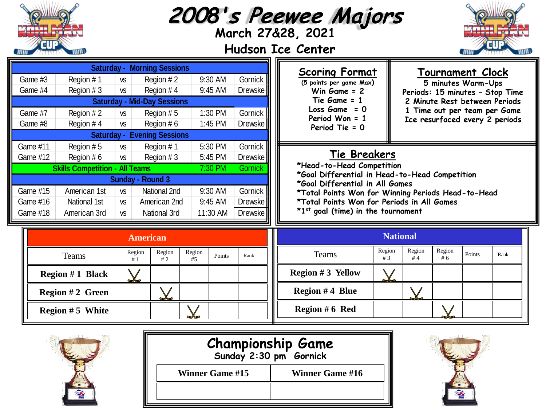|                                                                                                            |                                       |           |                                    |              |          |         |                                                                      | 2008's Peewee Majors<br>March 27&28, 2021<br><b>Hudson Ice Center</b>                      |                 |              |              |        |                                 |  |  |
|------------------------------------------------------------------------------------------------------------|---------------------------------------|-----------|------------------------------------|--------------|----------|---------|----------------------------------------------------------------------|--------------------------------------------------------------------------------------------|-----------------|--------------|--------------|--------|---------------------------------|--|--|
| <b>Saturday - Morning Sessions</b><br>9:30 AM<br>Gornick<br>Region #1<br>Game #3<br>Region #2<br><b>VS</b> |                                       |           |                                    |              |          |         |                                                                      | <b>Scoring Format</b><br>Tournament Clock<br>(5 points per game Max)<br>5 minutes Warm-Ups |                 |              |              |        |                                 |  |  |
| Game #4                                                                                                    | Region #3                             | <b>VS</b> | Region #4                          |              | 9:45 AM  | Drewske |                                                                      | Win Game = 2                                                                               |                 |              |              |        | Periods: 15 minutes - Stop Time |  |  |
|                                                                                                            |                                       |           | <b>Saturday - Mid-Day Sessions</b> |              |          |         |                                                                      | Tie Game = 1                                                                               |                 |              |              |        | 2 Minute Rest between Periods   |  |  |
| Game #7                                                                                                    | Region #2                             | <b>VS</b> | Region #5                          |              | 1:30 PM  | Gornick |                                                                      | $Loss Game = 0$                                                                            |                 |              |              |        | 1 Time out per team per Game    |  |  |
| Game #8                                                                                                    | Region #4                             | <b>VS</b> | Region #6                          |              | 1:45 PM  | Drewske | Period Won = 1<br>Ice resurfaced every 2 periods<br>Period Tie = $0$ |                                                                                            |                 |              |              |        |                                 |  |  |
|                                                                                                            |                                       |           | <b>Saturday - Evening Sessions</b> |              |          |         |                                                                      |                                                                                            |                 |              |              |        |                                 |  |  |
| Game #11                                                                                                   | Region #5                             | <b>VS</b> | Region #1                          |              | 5:30 PM  | Gornick |                                                                      |                                                                                            |                 |              |              |        |                                 |  |  |
| Game #12                                                                                                   | Region #6                             | <b>VS</b> | Region #3                          |              | 5:45 PM  | Drewske |                                                                      | <b>Tie Breakers</b>                                                                        |                 |              |              |        |                                 |  |  |
|                                                                                                            | <b>Skills Competition - All Teams</b> |           |                                    |              | 7:30 PM  | Gornick |                                                                      | *Head-to-Head Competition<br>*Goal Differential in Head-to-Head Competition                |                 |              |              |        |                                 |  |  |
|                                                                                                            |                                       |           | <b>Sunday - Round 3</b>            |              |          |         |                                                                      | *Goal Differential in All Games                                                            |                 |              |              |        |                                 |  |  |
| Game #15                                                                                                   | American 1st                          | <b>VS</b> | National 2nd                       |              | 9:30 AM  | Gornick | *Total Points Won for Winning Periods Head-to-Head                   |                                                                                            |                 |              |              |        |                                 |  |  |
| Game #16                                                                                                   | National 1st                          | <b>VS</b> | American 2nd                       |              | 9:45 AM  | Drewske | *Total Points Won for Periods in All Games                           |                                                                                            |                 |              |              |        |                                 |  |  |
| Game #18                                                                                                   | American 3rd                          | <b>VS</b> | National 3rd                       |              | 11:30 AM | Drewske |                                                                      | *1st goal (time) in the tournament                                                         |                 |              |              |        |                                 |  |  |
|                                                                                                            | <b>American</b>                       |           |                                    |              |          |         |                                                                      |                                                                                            | <b>National</b> |              |              |        |                                 |  |  |
|                                                                                                            | <b>Teams</b>                          |           | Region<br>Region<br>#1<br>#2       | Region<br>#5 | Points   | Rank    |                                                                      | <b>Teams</b>                                                                               | Region<br>#3    | Region<br>#4 | Region<br>#6 | Points | Rank                            |  |  |
|                                                                                                            | <b>Region #1 Black</b>                |           | $\chi$                             |              |          |         |                                                                      | <b>Region #3 Yellow</b>                                                                    |                 |              |              |        |                                 |  |  |
|                                                                                                            | <b>Region #2 Green</b>                |           | ${\color{red}\chi}$                |              |          |         |                                                                      | <b>Region #4 Blue</b>                                                                      |                 | $\diagdown$  |              |        |                                 |  |  |
| <b>Region #5 White</b>                                                                                     |                                       |           |                                    |              |          |         |                                                                      | Region #6 Red                                                                              |                 |              |              |        |                                 |  |  |



| Sunday 2:30 pm Gornick |                        |  |  |  |  |  |
|------------------------|------------------------|--|--|--|--|--|
| <b>Winner Game #15</b> | <b>Winner Game #16</b> |  |  |  |  |  |
|                        |                        |  |  |  |  |  |
|                        |                        |  |  |  |  |  |

**Championship Game**